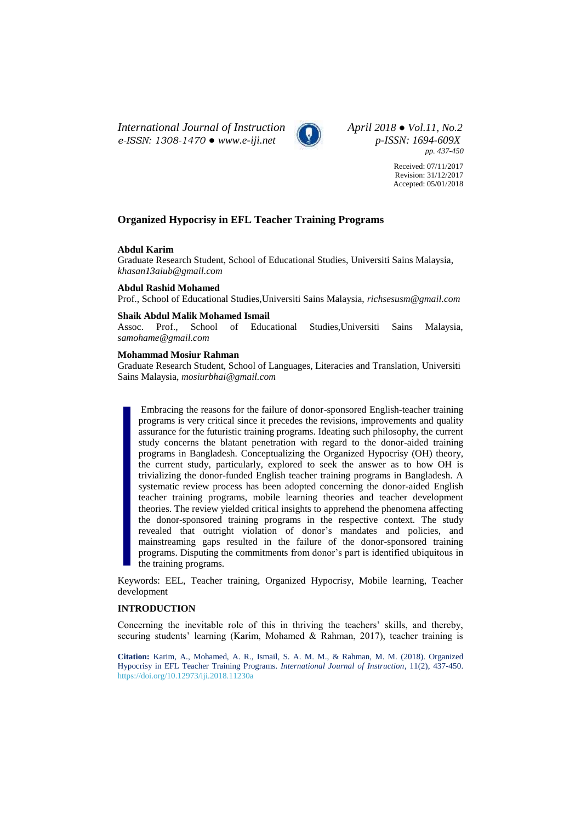*International Journal of Instruction April 2018 ● Vol.11, No.2 e-ISSN: 1308-1470 ● [www.e-iji.net](http://www.e-iji.net/) p-ISSN: 1694-609X*



*pp. 437-450*

Received: 07/11/2017 Revision: 31/12/2017 Accepted: 05/01/2018

# **Organized Hypocrisy in EFL Teacher Training Programs**

## **Abdul Karim**

Graduate Research Student, School of Educational Studies, Universiti Sains Malaysia, *khasan13aiub@gmail.com*

#### **Abdul Rashid Mohamed**

Prof., School of Educational Studies,Universiti Sains Malaysia, *richsesusm@gmail.com*

## **Shaik Abdul Malik Mohamed Ismail**

Assoc. Prof., School of Educational Studies,Universiti Sains Malaysia, *samohame@gmail.com*

#### **Mohammad Mosiur Rahman**

Graduate Research Student, School of Languages, Literacies and Translation, Universiti Sains Malaysia, *mosiurbhai@gmail.com*

Embracing the reasons for the failure of donor-sponsored English-teacher training programs is very critical since it precedes the revisions, improvements and quality assurance for the futuristic training programs. Ideating such philosophy, the current study concerns the blatant penetration with regard to the donor-aided training programs in Bangladesh. Conceptualizing the Organized Hypocrisy (OH) theory, the current study, particularly, explored to seek the answer as to how OH is trivializing the donor-funded English teacher training programs in Bangladesh. A systematic review process has been adopted concerning the donor-aided English teacher training programs, mobile learning theories and teacher development theories. The review yielded critical insights to apprehend the phenomena affecting the donor-sponsored training programs in the respective context. The study revealed that outright violation of donor's mandates and policies, and mainstreaming gaps resulted in the failure of the donor-sponsored training programs. Disputing the commitments from donor's part is identified ubiquitous in the training programs.

Keywords: EEL, Teacher training, Organized Hypocrisy, Mobile learning, Teacher development

## **INTRODUCTION**

Concerning the inevitable role of this in thriving the teachers' skills, and thereby, securing students' learning (Karim, Mohamed & Rahman, 2017), teacher training is

**Citation:** Karim, A., Mohamed, A. R., Ismail, S. A. M. M., & Rahman, M. M. (2018). Organized Hypocrisy in EFL Teacher Training Programs. *International Journal of Instruction*, 11(2), 437-450. <https://doi.org/10.12973/iji.2018.11230a>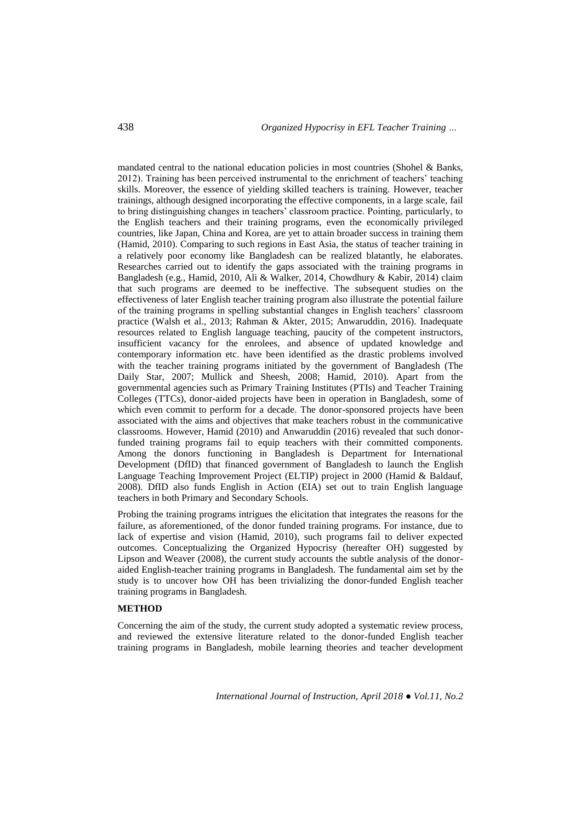mandated central to the national education policies in most countries (Shohel & Banks, 2012). Training has been perceived instrumental to the enrichment of teachers' teaching skills. Moreover, the essence of yielding skilled teachers is training. However, teacher trainings, although designed incorporating the effective components, in a large scale, fail to bring distinguishing changes in teachers' classroom practice. Pointing, particularly, to the English teachers and their training programs, even the economically privileged countries, like Japan, China and Korea, are yet to attain broader success in training them (Hamid, 2010). Comparing to such regions in East Asia, the status of teacher training in a relatively poor economy like Bangladesh can be realized blatantly, he elaborates. Researches carried out to identify the gaps associated with the training programs in Bangladesh (e.g., Hamid, 2010, Ali & Walker, 2014, Chowdhury & Kabir, 2014) claim that such programs are deemed to be ineffective. The subsequent studies on the effectiveness of later English teacher training program also illustrate the potential failure of the training programs in spelling substantial changes in English teachers' classroom practice (Walsh et al., 2013; Rahman & Akter, 2015; Anwaruddin, 2016). Inadequate resources related to English language teaching, paucity of the competent instructors, insufficient vacancy for the enrolees, and absence of updated knowledge and contemporary information etc. have been identified as the drastic problems involved with the teacher training programs initiated by the government of Bangladesh (The Daily Star, 2007; Mullick and Sheesh, 2008; Hamid, 2010). Apart from the governmental agencies such as Primary Training Institutes (PTIs) and Teacher Training Colleges (TTCs), donor-aided projects have been in operation in Bangladesh, some of which even commit to perform for a decade. The donor-sponsored projects have been associated with the aims and objectives that make teachers robust in the communicative classrooms. However, Hamid (2010) and Anwaruddin (2016) revealed that such donorfunded training programs fail to equip teachers with their committed components. Among the donors functioning in Bangladesh is Department for International Development (DfID) that financed government of Bangladesh to launch the English Language Teaching Improvement Project (ELTIP) project in 2000 (Hamid & Baldauf, 2008). DfID also funds English in Action (EIA) set out to train English language teachers in both Primary and Secondary Schools.

Probing the training programs intrigues the elicitation that integrates the reasons for the failure, as aforementioned, of the donor funded training programs. For instance, due to lack of expertise and vision (Hamid, 2010), such programs fail to deliver expected outcomes. Conceptualizing the Organized Hypocrisy (hereafter OH) suggested by Lipson and Weaver (2008), the current study accounts the subtle analysis of the donoraided English-teacher training programs in Bangladesh. The fundamental aim set by the study is to uncover how OH has been trivializing the donor-funded English teacher training programs in Bangladesh.

## **METHOD**

Concerning the aim of the study, the current study adopted a systematic review process, and reviewed the extensive literature related to the donor-funded English teacher training programs in Bangladesh, mobile learning theories and teacher development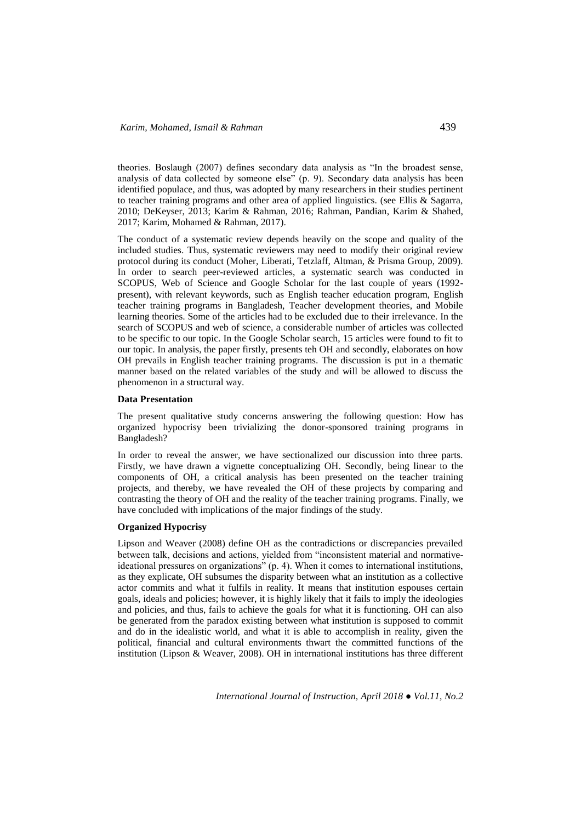theories. Boslaugh (2007) defines secondary data analysis as "In the broadest sense, analysis of data collected by someone else" (p. 9). Secondary data analysis has been identified populace, and thus, was adopted by many researchers in their studies pertinent to teacher training programs and other area of applied linguistics. (see Ellis & Sagarra, 2010; DeKeyser, 2013; Karim & Rahman, 2016; Rahman, Pandian, Karim & Shahed, 2017; Karim, Mohamed & Rahman, 2017).

The conduct of a systematic review depends heavily on the scope and quality of the included studies. Thus, systematic reviewers may need to modify their original review protocol during its conduct (Moher, Liberati, Tetzlaff, Altman, & Prisma Group, 2009). In order to search peer-reviewed articles, a systematic search was conducted in SCOPUS, Web of Science and Google Scholar for the last couple of years (1992 present), with relevant keywords, such as English teacher education program, English teacher training programs in Bangladesh, Teacher development theories, and Mobile learning theories. Some of the articles had to be excluded due to their irrelevance. In the search of SCOPUS and web of science, a considerable number of articles was collected to be specific to our topic. In the Google Scholar search, 15 articles were found to fit to our topic. In analysis, the paper firstly, presents teh OH and secondly, elaborates on how OH prevails in English teacher training programs. The discussion is put in a thematic manner based on the related variables of the study and will be allowed to discuss the phenomenon in a structural way.

#### **Data Presentation**

The present qualitative study concerns answering the following question: How has organized hypocrisy been trivializing the donor-sponsored training programs in Bangladesh?

In order to reveal the answer, we have sectionalized our discussion into three parts. Firstly, we have drawn a vignette conceptualizing OH. Secondly, being linear to the components of OH, a critical analysis has been presented on the teacher training projects, and thereby, we have revealed the OH of these projects by comparing and contrasting the theory of OH and the reality of the teacher training programs. Finally, we have concluded with implications of the major findings of the study.

#### **Organized Hypocrisy**

Lipson and Weaver (2008) define OH as the contradictions or discrepancies prevailed between talk, decisions and actions, yielded from "inconsistent material and normativeideational pressures on organizations" (p. 4). When it comes to international institutions, as they explicate, OH subsumes the disparity between what an institution as a collective actor commits and what it fulfils in reality. It means that institution espouses certain goals, ideals and policies; however, it is highly likely that it fails to imply the ideologies and policies, and thus, fails to achieve the goals for what it is functioning. OH can also be generated from the paradox existing between what institution is supposed to commit and do in the idealistic world, and what it is able to accomplish in reality, given the political, financial and cultural environments thwart the committed functions of the institution (Lipson & Weaver, 2008). OH in international institutions has three different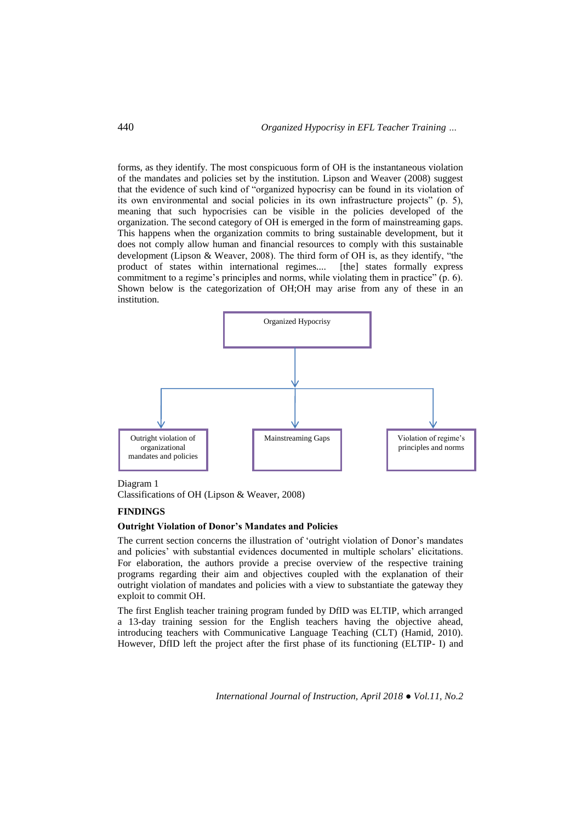forms, as they identify. The most conspicuous form of OH is the instantaneous violation of the mandates and policies set by the institution. Lipson and Weaver (2008) suggest that the evidence of such kind of "organized hypocrisy can be found in its violation of its own environmental and social policies in its own infrastructure projects" (p. 5), meaning that such hypocrisies can be visible in the policies developed of the organization. The second category of OH is emerged in the form of mainstreaming gaps. This happens when the organization commits to bring sustainable development, but it does not comply allow human and financial resources to comply with this sustainable development (Lipson & Weaver, 2008). The third form of OH is, as they identify, "the product of states within international regimes.... [the] states formally express commitment to a regime's principles and norms, while violating them in practice" (p. 6). Shown below is the categorization of OH;OH may arise from any of these in an institution.



#### Diagram 1

Classifications of OH (Lipson & Weaver, 2008)

## **FINDINGS**

#### **Outright Violation of Donor's Mandates and Policies**

The current section concerns the illustration of 'outright violation of Donor's mandates and policies' with substantial evidences documented in multiple scholars' elicitations. For elaboration, the authors provide a precise overview of the respective training programs regarding their aim and objectives coupled with the explanation of their outright violation of mandates and policies with a view to substantiate the gateway they exploit to commit OH.

The first English teacher training program funded by DfID was ELTIP, which arranged a 13-day training session for the English teachers having the objective ahead, introducing teachers with Communicative Language Teaching (CLT) (Hamid, 2010). However, DfID left the project after the first phase of its functioning (ELTIP- I) and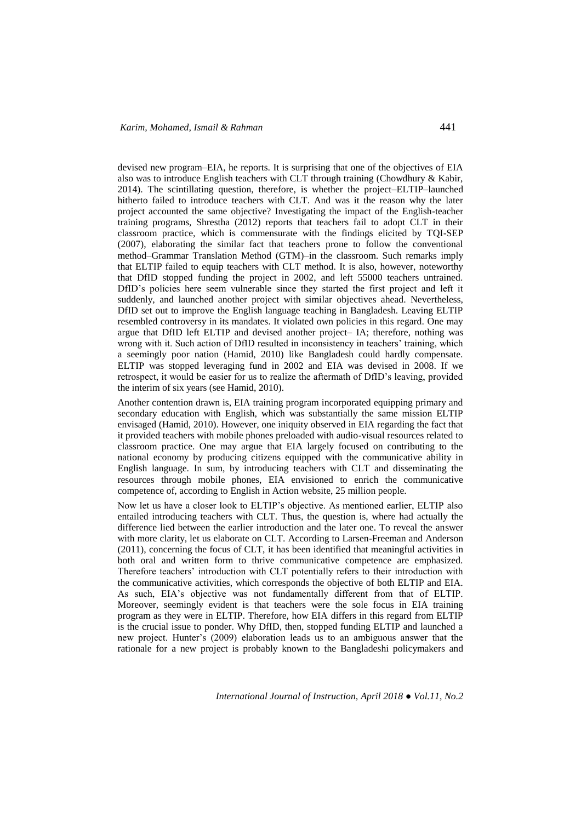devised new program–EIA, he reports. It is surprising that one of the objectives of EIA also was to introduce English teachers with CLT through training (Chowdhury & Kabir, 2014). The scintillating question, therefore, is whether the project–ELTIP–launched hitherto failed to introduce teachers with CLT. And was it the reason why the later project accounted the same objective? Investigating the impact of the English-teacher training programs, Shrestha (2012) reports that teachers fail to adopt CLT in their classroom practice, which is commensurate with the findings elicited by TQI-SEP (2007), elaborating the similar fact that teachers prone to follow the conventional method–Grammar Translation Method (GTM)–in the classroom. Such remarks imply that ELTIP failed to equip teachers with CLT method. It is also, however, noteworthy that DfID stopped funding the project in 2002, and left 55000 teachers untrained. DfID's policies here seem vulnerable since they started the first project and left it suddenly, and launched another project with similar objectives ahead. Nevertheless, DfID set out to improve the English language teaching in Bangladesh. Leaving ELTIP resembled controversy in its mandates. It violated own policies in this regard. One may argue that DfID left ELTIP and devised another project– IA; therefore, nothing was wrong with it. Such action of DfID resulted in inconsistency in teachers' training, which a seemingly poor nation (Hamid, 2010) like Bangladesh could hardly compensate. ELTIP was stopped leveraging fund in 2002 and EIA was devised in 2008. If we retrospect, it would be easier for us to realize the aftermath of DfID's leaving, provided the interim of six years (see Hamid, 2010).

Another contention drawn is, EIA training program incorporated equipping primary and secondary education with English, which was substantially the same mission ELTIP envisaged (Hamid, 2010). However, one iniquity observed in EIA regarding the fact that it provided teachers with mobile phones preloaded with audio-visual resources related to classroom practice. One may argue that EIA largely focused on contributing to the national economy by producing citizens equipped with the communicative ability in English language. In sum, by introducing teachers with CLT and disseminating the resources through mobile phones, EIA envisioned to enrich the communicative competence of, according to English in Action website, 25 million people.

Now let us have a closer look to ELTIP's objective. As mentioned earlier, ELTIP also entailed introducing teachers with CLT. Thus, the question is, where had actually the difference lied between the earlier introduction and the later one. To reveal the answer with more clarity, let us elaborate on CLT. According to Larsen-Freeman and Anderson (2011), concerning the focus of CLT, it has been identified that meaningful activities in both oral and written form to thrive communicative competence are emphasized. Therefore teachers' introduction with CLT potentially refers to their introduction with the communicative activities, which corresponds the objective of both ELTIP and EIA. As such, EIA's objective was not fundamentally different from that of ELTIP. Moreover, seemingly evident is that teachers were the sole focus in EIA training program as they were in ELTIP. Therefore, how EIA differs in this regard from ELTIP is the crucial issue to ponder. Why DfID, then, stopped funding ELTIP and launched a new project. Hunter's (2009) elaboration leads us to an ambiguous answer that the rationale for a new project is probably known to the Bangladeshi policymakers and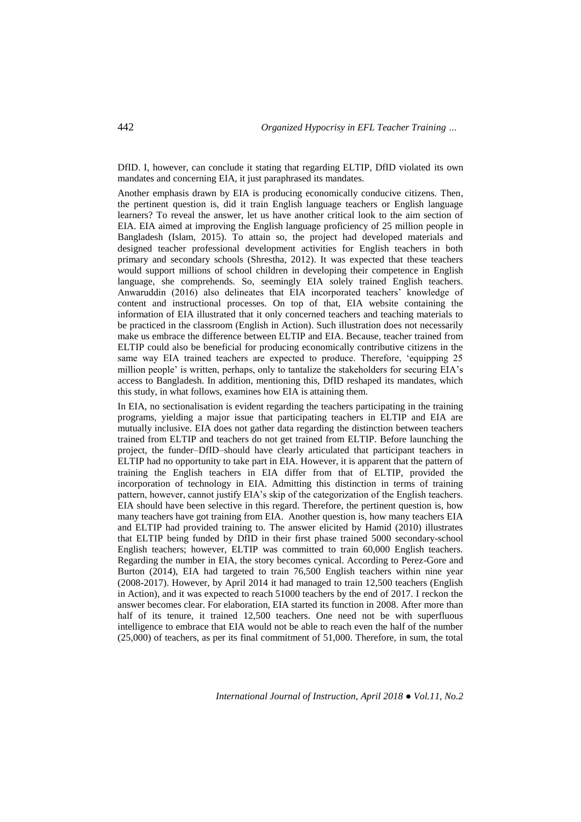DfID. I, however, can conclude it stating that regarding ELTIP, DfID violated its own mandates and concerning EIA, it just paraphrased its mandates.

Another emphasis drawn by EIA is producing economically conducive citizens. Then, the pertinent question is, did it train English language teachers or English language learners? To reveal the answer, let us have another critical look to the aim section of EIA. EIA aimed at improving the English language proficiency of 25 million people in Bangladesh (Islam, 2015). To attain so, the project had developed materials and designed teacher professional development activities for English teachers in both primary and secondary schools (Shrestha, 2012). It was expected that these teachers would support millions of school children in developing their competence in English language, she comprehends. So, seemingly EIA solely trained English teachers. Anwaruddin (2016) also delineates that EIA incorporated teachers' knowledge of content and instructional processes. On top of that, EIA website containing the information of EIA illustrated that it only concerned teachers and teaching materials to be practiced in the classroom (English in Action). Such illustration does not necessarily make us embrace the difference between ELTIP and EIA. Because, teacher trained from ELTIP could also be beneficial for producing economically contributive citizens in the same way EIA trained teachers are expected to produce. Therefore, 'equipping 25 million people' is written, perhaps, only to tantalize the stakeholders for securing EIA's access to Bangladesh. In addition, mentioning this, DfID reshaped its mandates, which this study, in what follows, examines how EIA is attaining them.

In EIA, no sectionalisation is evident regarding the teachers participating in the training programs, yielding a major issue that participating teachers in ELTIP and EIA are mutually inclusive. EIA does not gather data regarding the distinction between teachers trained from ELTIP and teachers do not get trained from ELTIP. Before launching the project, the funder–DfID–should have clearly articulated that participant teachers in ELTIP had no opportunity to take part in EIA. However, it is apparent that the pattern of training the English teachers in EIA differ from that of ELTIP, provided the incorporation of technology in EIA. Admitting this distinction in terms of training pattern, however, cannot justify EIA's skip of the categorization of the English teachers. EIA should have been selective in this regard. Therefore, the pertinent question is, how many teachers have got training from EIA. Another question is, how many teachers EIA and ELTIP had provided training to. The answer elicited by Hamid (2010) illustrates that ELTIP being funded by DfID in their first phase trained 5000 secondary-school English teachers; however, ELTIP was committed to train 60,000 English teachers. Regarding the number in EIA, the story becomes cynical. According to Perez-Gore and Burton (2014), EIA had targeted to train 76,500 English teachers within nine year (2008-2017). However, by April 2014 it had managed to train 12,500 teachers (English in Action), and it was expected to reach 51000 teachers by the end of 2017. I reckon the answer becomes clear. For elaboration, EIA started its function in 2008. After more than half of its tenure, it trained 12,500 teachers. One need not be with superfluous intelligence to embrace that EIA would not be able to reach even the half of the number (25,000) of teachers, as per its final commitment of 51,000. Therefore, in sum, the total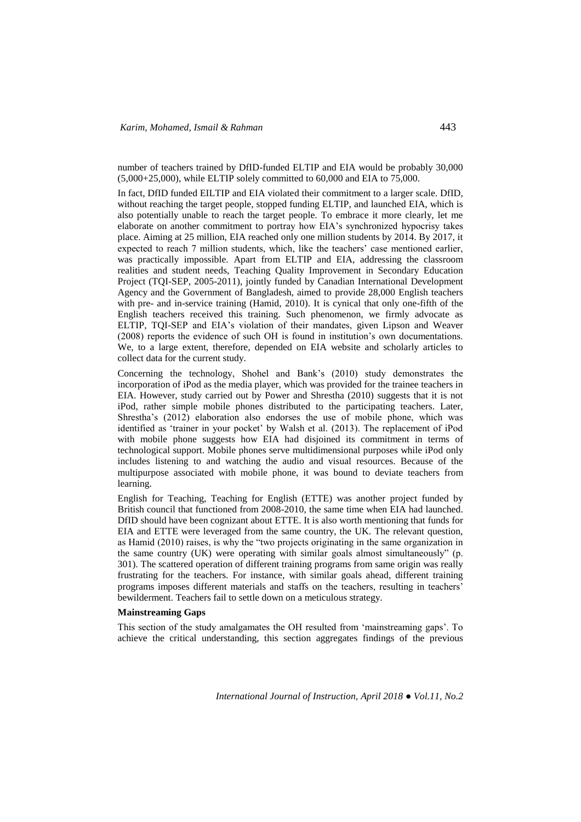number of teachers trained by DfID-funded ELTIP and EIA would be probably 30,000 (5,000+25,000), while ELTIP solely committed to 60,000 and EIA to 75,000.

In fact, DfID funded EILTIP and EIA violated their commitment to a larger scale. DfID, without reaching the target people, stopped funding ELTIP, and launched EIA, which is also potentially unable to reach the target people. To embrace it more clearly, let me elaborate on another commitment to portray how EIA's synchronized hypocrisy takes place. Aiming at 25 million, EIA reached only one million students by 2014. By 2017, it expected to reach 7 million students, which, like the teachers' case mentioned earlier, was practically impossible. Apart from ELTIP and EIA, addressing the classroom realities and student needs, Teaching Quality Improvement in Secondary Education Project (TQI-SEP, 2005-2011), jointly funded by Canadian International Development Agency and the Government of Bangladesh, aimed to provide 28,000 English teachers with pre- and in-service training (Hamid, 2010). It is cynical that only one-fifth of the English teachers received this training. Such phenomenon, we firmly advocate as ELTIP, TQI-SEP and EIA's violation of their mandates, given Lipson and Weaver (2008) reports the evidence of such OH is found in institution's own documentations. We, to a large extent, therefore, depended on EIA website and scholarly articles to collect data for the current study.

Concerning the technology, Shohel and Bank's (2010) study demonstrates the incorporation of iPod as the media player, which was provided for the trainee teachers in EIA. However, study carried out by Power and Shrestha (2010) suggests that it is not iPod, rather simple mobile phones distributed to the participating teachers. Later, Shrestha's (2012) elaboration also endorses the use of mobile phone, which was identified as 'trainer in your pocket' by Walsh et al. (2013). The replacement of iPod with mobile phone suggests how EIA had disjoined its commitment in terms of technological support. Mobile phones serve multidimensional purposes while iPod only includes listening to and watching the audio and visual resources. Because of the multipurpose associated with mobile phone, it was bound to deviate teachers from learning.

English for Teaching, Teaching for English (ETTE) was another project funded by British council that functioned from 2008-2010, the same time when EIA had launched. DfID should have been cognizant about ETTE. It is also worth mentioning that funds for EIA and ETTE were leveraged from the same country, the UK. The relevant question, as Hamid (2010) raises, is why the "two projects originating in the same organization in the same country (UK) were operating with similar goals almost simultaneously" (p. 301). The scattered operation of different training programs from same origin was really frustrating for the teachers. For instance, with similar goals ahead, different training programs imposes different materials and staffs on the teachers, resulting in teachers' bewilderment. Teachers fail to settle down on a meticulous strategy.

#### **Mainstreaming Gaps**

This section of the study amalgamates the OH resulted from 'mainstreaming gaps'. To achieve the critical understanding, this section aggregates findings of the previous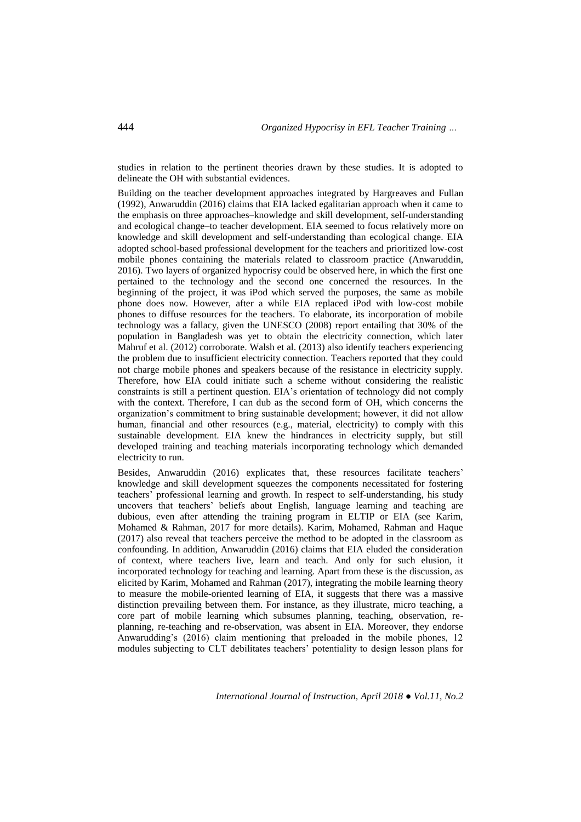studies in relation to the pertinent theories drawn by these studies. It is adopted to delineate the OH with substantial evidences.

Building on the teacher development approaches integrated by Hargreaves and Fullan (1992), Anwaruddin (2016) claims that EIA lacked egalitarian approach when it came to the emphasis on three approaches–knowledge and skill development, self-understanding and ecological change–to teacher development. EIA seemed to focus relatively more on knowledge and skill development and self-understanding than ecological change. EIA adopted school-based professional development for the teachers and prioritized low-cost mobile phones containing the materials related to classroom practice (Anwaruddin, 2016). Two layers of organized hypocrisy could be observed here, in which the first one pertained to the technology and the second one concerned the resources. In the beginning of the project, it was iPod which served the purposes, the same as mobile phone does now. However, after a while EIA replaced iPod with low-cost mobile phones to diffuse resources for the teachers. To elaborate, its incorporation of mobile technology was a fallacy, given the UNESCO (2008) report entailing that 30% of the population in Bangladesh was yet to obtain the electricity connection, which later Mahruf et al. (2012) corroborate. Walsh et al. (2013) also identify teachers experiencing the problem due to insufficient electricity connection. Teachers reported that they could not charge mobile phones and speakers because of the resistance in electricity supply. Therefore, how EIA could initiate such a scheme without considering the realistic constraints is still a pertinent question. EIA's orientation of technology did not comply with the context. Therefore, I can dub as the second form of OH, which concerns the organization's commitment to bring sustainable development; however, it did not allow human, financial and other resources (e.g., material, electricity) to comply with this sustainable development. EIA knew the hindrances in electricity supply, but still developed training and teaching materials incorporating technology which demanded electricity to run.

Besides, Anwaruddin (2016) explicates that, these resources facilitate teachers' knowledge and skill development squeezes the components necessitated for fostering teachers' professional learning and growth. In respect to self-understanding, his study uncovers that teachers' beliefs about English, language learning and teaching are dubious, even after attending the training program in ELTIP or EIA (see Karim, Mohamed & Rahman, 2017 for more details). Karim, Mohamed, Rahman and Haque (2017) also reveal that teachers perceive the method to be adopted in the classroom as confounding. In addition, Anwaruddin (2016) claims that EIA eluded the consideration of context, where teachers live, learn and teach. And only for such elusion, it incorporated technology for teaching and learning. Apart from these is the discussion, as elicited by Karim, Mohamed and Rahman (2017), integrating the mobile learning theory to measure the mobile-oriented learning of EIA, it suggests that there was a massive distinction prevailing between them. For instance, as they illustrate, micro teaching, a core part of mobile learning which subsumes planning, teaching, observation, replanning, re-teaching and re-observation, was absent in EIA. Moreover, they endorse Anwarudding's (2016) claim mentioning that preloaded in the mobile phones, 12 modules subjecting to CLT debilitates teachers' potentiality to design lesson plans for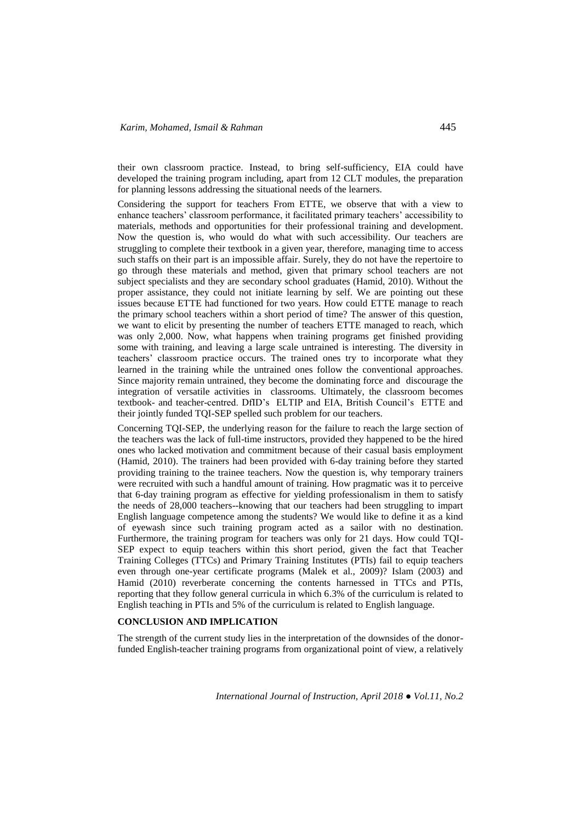their own classroom practice. Instead, to bring self-sufficiency, EIA could have developed the training program including, apart from 12 CLT modules, the preparation for planning lessons addressing the situational needs of the learners.

Considering the support for teachers From ETTE, we observe that with a view to enhance teachers' classroom performance, it facilitated primary teachers' accessibility to materials, methods and opportunities for their professional training and development. Now the question is, who would do what with such accessibility. Our teachers are struggling to complete their textbook in a given year, therefore, managing time to access such staffs on their part is an impossible affair. Surely, they do not have the repertoire to go through these materials and method, given that primary school teachers are not subject specialists and they are secondary school graduates (Hamid, 2010). Without the proper assistance, they could not initiate learning by self. We are pointing out these issues because ETTE had functioned for two years. How could ETTE manage to reach the primary school teachers within a short period of time? The answer of this question, we want to elicit by presenting the number of teachers ETTE managed to reach, which was only 2,000. Now, what happens when training programs get finished providing some with training, and leaving a large scale untrained is interesting. The diversity in teachers' classroom practice occurs. The trained ones try to incorporate what they learned in the training while the untrained ones follow the conventional approaches. Since majority remain untrained, they become the dominating force and discourage the integration of versatile activities in classrooms. Ultimately, the classroom becomes textbook- and teacher-centred. DfID's ELTIP and EIA, British Council's ETTE and their jointly funded TQI-SEP spelled such problem for our teachers.

Concerning TQI-SEP, the underlying reason for the failure to reach the large section of the teachers was the lack of full-time instructors, provided they happened to be the hired ones who lacked motivation and commitment because of their casual basis employment (Hamid, 2010). The trainers had been provided with 6-day training before they started providing training to the trainee teachers. Now the question is, why temporary trainers were recruited with such a handful amount of training. How pragmatic was it to perceive that 6-day training program as effective for yielding professionalism in them to satisfy the needs of 28,000 teachers--knowing that our teachers had been struggling to impart English language competence among the students? We would like to define it as a kind of eyewash since such training program acted as a sailor with no destination. Furthermore, the training program for teachers was only for 21 days. How could TQI-SEP expect to equip teachers within this short period, given the fact that Teacher Training Colleges (TTCs) and Primary Training Institutes (PTIs) fail to equip teachers even through one-year certificate programs (Malek et al., 2009)? Islam (2003) and Hamid (2010) reverberate concerning the contents harnessed in TTCs and PTIs, reporting that they follow general curricula in which 6.3% of the curriculum is related to English teaching in PTIs and 5% of the curriculum is related to English language.

#### **CONCLUSION AND IMPLICATION**

The strength of the current study lies in the interpretation of the downsides of the donorfunded English-teacher training programs from organizational point of view, a relatively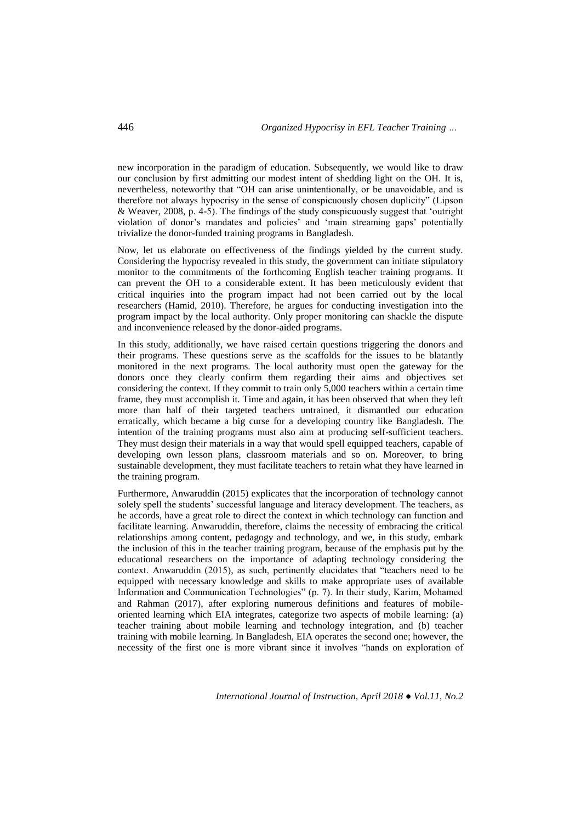new incorporation in the paradigm of education. Subsequently, we would like to draw our conclusion by first admitting our modest intent of shedding light on the OH. It is, nevertheless, noteworthy that "OH can arise unintentionally, or be unavoidable, and is therefore not always hypocrisy in the sense of conspicuously chosen duplicity" (Lipson & Weaver, 2008, p. 4-5). The findings of the study conspicuously suggest that 'outright violation of donor's mandates and policies' and 'main streaming gaps' potentially trivialize the donor-funded training programs in Bangladesh.

Now, let us elaborate on effectiveness of the findings yielded by the current study. Considering the hypocrisy revealed in this study, the government can initiate stipulatory monitor to the commitments of the forthcoming English teacher training programs. It can prevent the OH to a considerable extent. It has been meticulously evident that critical inquiries into the program impact had not been carried out by the local researchers (Hamid, 2010). Therefore, he argues for conducting investigation into the program impact by the local authority. Only proper monitoring can shackle the dispute and inconvenience released by the donor-aided programs.

In this study, additionally, we have raised certain questions triggering the donors and their programs. These questions serve as the scaffolds for the issues to be blatantly monitored in the next programs. The local authority must open the gateway for the donors once they clearly confirm them regarding their aims and objectives set considering the context. If they commit to train only 5,000 teachers within a certain time frame, they must accomplish it. Time and again, it has been observed that when they left more than half of their targeted teachers untrained, it dismantled our education erratically, which became a big curse for a developing country like Bangladesh. The intention of the training programs must also aim at producing self-sufficient teachers. They must design their materials in a way that would spell equipped teachers, capable of developing own lesson plans, classroom materials and so on. Moreover, to bring sustainable development, they must facilitate teachers to retain what they have learned in the training program.

Furthermore, Anwaruddin (2015) explicates that the incorporation of technology cannot solely spell the students' successful language and literacy development. The teachers, as he accords, have a great role to direct the context in which technology can function and facilitate learning. Anwaruddin, therefore, claims the necessity of embracing the critical relationships among content, pedagogy and technology, and we, in this study, embark the inclusion of this in the teacher training program, because of the emphasis put by the educational researchers on the importance of adapting technology considering the context. Anwaruddin (2015), as such, pertinently elucidates that "teachers need to be equipped with necessary knowledge and skills to make appropriate uses of available Information and Communication Technologies" (p. 7). In their study, Karim, Mohamed and Rahman (2017), after exploring numerous definitions and features of mobileoriented learning which EIA integrates, categorize two aspects of mobile learning: (a) teacher training about mobile learning and technology integration, and (b) teacher training with mobile learning. In Bangladesh, EIA operates the second one; however, the necessity of the first one is more vibrant since it involves "hands on exploration of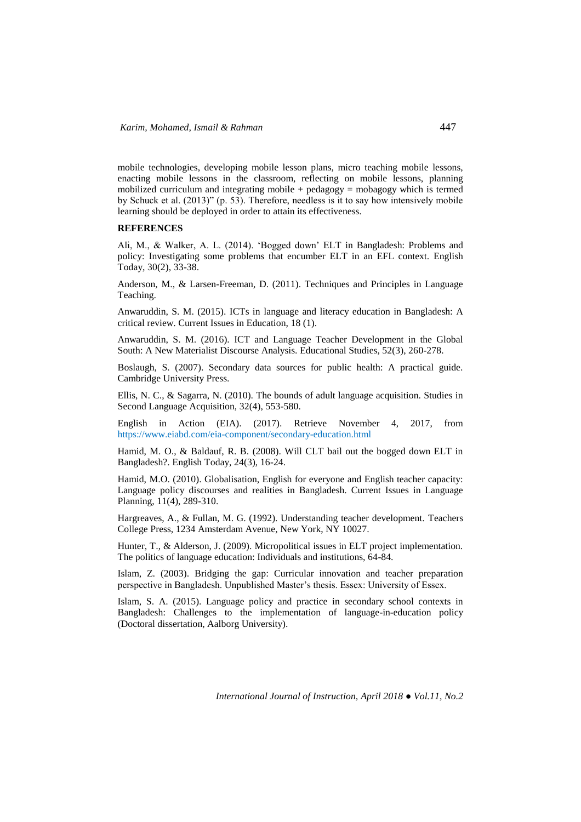mobile technologies, developing mobile lesson plans, micro teaching mobile lessons, enacting mobile lessons in the classroom, reflecting on mobile lessons, planning mobilized curriculum and integrating mobile  $+$  pedagogy  $=$  mobagogy which is termed by Schuck et al. (2013)" (p. 53). Therefore, needless is it to say how intensively mobile learning should be deployed in order to attain its effectiveness.

#### **REFERENCES**

Ali, M., & Walker, A. L. (2014). 'Bogged down' ELT in Bangladesh: Problems and policy: Investigating some problems that encumber ELT in an EFL context. English Today, 30(2), 33-38.

Anderson, M., & Larsen-Freeman, D. (2011). Techniques and Principles in Language Teaching.

Anwaruddin, S. M. (2015). ICTs in language and literacy education in Bangladesh: A critical review. Current Issues in Education, 18 (1).

Anwaruddin, S. M. (2016). ICT and Language Teacher Development in the Global South: A New Materialist Discourse Analysis. Educational Studies, 52(3), 260-278.

Boslaugh, S. (2007). Secondary data sources for public health: A practical guide. Cambridge University Press.

Ellis, N. C., & Sagarra, N. (2010). The bounds of adult language acquisition. Studies in Second Language Acquisition, 32(4), 553-580.

English in Action (EIA). (2017). Retrieve November 4, 2017, from https://www.eiabd.com/eia-component/secondary-education.html

Hamid, M. O., & Baldauf, R. B. (2008). Will CLT bail out the bogged down ELT in Bangladesh?. English Today, 24(3), 16-24.

Hamid, M.O. (2010). Globalisation, English for everyone and English teacher capacity: Language policy discourses and realities in Bangladesh. Current Issues in Language Planning, 11(4), 289-310.

Hargreaves, A., & Fullan, M. G. (1992). Understanding teacher development. Teachers College Press, 1234 Amsterdam Avenue, New York, NY 10027.

Hunter, T., & Alderson, J. (2009). Micropolitical issues in ELT project implementation. The politics of language education: Individuals and institutions, 64-84.

Islam, Z. (2003). Bridging the gap: Curricular innovation and teacher preparation perspective in Bangladesh. Unpublished Master's thesis. Essex: University of Essex.

Islam, S. A. (2015). Language policy and practice in secondary school contexts in Bangladesh: Challenges to the implementation of language-in-education policy (Doctoral dissertation, Aalborg University).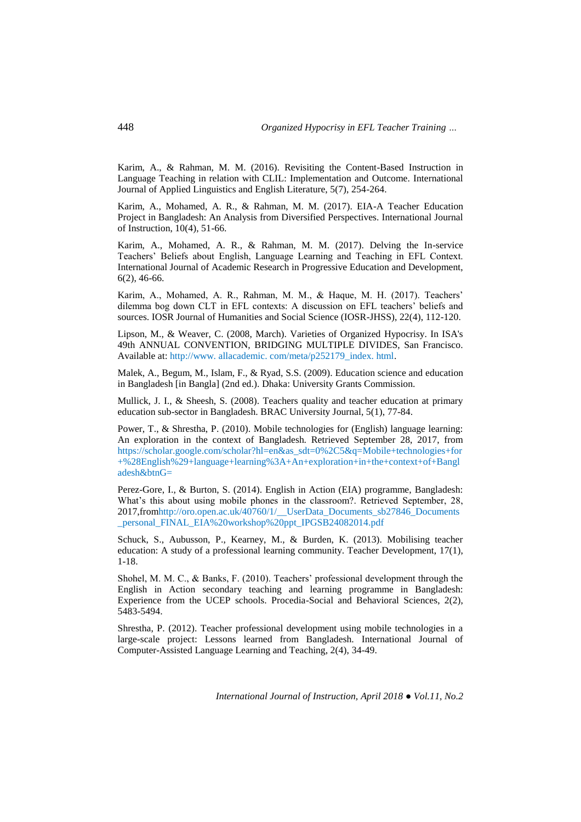Karim, A., & Rahman, M. M. (2016). Revisiting the Content-Based Instruction in Language Teaching in relation with CLIL: Implementation and Outcome. International Journal of Applied Linguistics and English Literature, 5(7), 254-264.

Karim, A., Mohamed, A. R., & Rahman, M. M. (2017). EIA-A Teacher Education Project in Bangladesh: An Analysis from Diversified Perspectives. International Journal of Instruction, 10(4), 51-66.

Karim, A., Mohamed, A. R., & Rahman, M. M. (2017). Delving the In-service Teachers' Beliefs about English, Language Learning and Teaching in EFL Context. International Journal of Academic Research in Progressive Education and Development, 6(2), 46-66.

Karim, A., Mohamed, A. R., Rahman, M. M., & Haque, M. H. (2017). Teachers' dilemma bog down CLT in EFL contexts: A discussion on EFL teachers' beliefs and sources. IOSR Journal of Humanities and Social Science (IOSR-JHSS), 22(4), 112-120.

Lipson, M., & Weaver, C. (2008, March). Varieties of Organized Hypocrisy. In ISA's 49th ANNUAL CONVENTION, BRIDGING MULTIPLE DIVIDES, San Francisco. Available at: http://www. allacademic. com/meta/p252179\_index. html.

Malek, A., Begum, M., Islam, F., & Ryad, S.S. (2009). Education science and education in Bangladesh [in Bangla] (2nd ed.). Dhaka: University Grants Commission.

Mullick, J. I., & Sheesh, S. (2008). Teachers quality and teacher education at primary education sub-sector in Bangladesh. BRAC University Journal, 5(1), 77-84.

Power, T., & Shrestha, P. (2010). Mobile technologies for (English) language learning: An exploration in the context of Bangladesh. Retrieved September 28, 2017, from https://scholar.google.com/scholar?hl=en&as\_sdt=0%2C5&q=Mobile+technologies+for +%28English%29+language+learning%3A+An+exploration+in+the+context+of+Bangl adesh&btnG=

Perez-Gore, I., & Burton, S. (2014). English in Action (EIA) programme, Bangladesh: What's this about using mobile phones in the classroom?. Retrieved September, 28, 2017,fromhttp://oro.open.ac.uk/40760/1/\_\_UserData\_Documents\_sb27846\_Documents \_personal\_FINAL\_EIA%20workshop%20ppt\_IPGSB24082014.pdf

Schuck, S., Aubusson, P., Kearney, M., & Burden, K. (2013). Mobilising teacher education: A study of a professional learning community. Teacher Development, 17(1), 1-18.

Shohel, M. M. C., & Banks, F. (2010). Teachers' professional development through the English in Action secondary teaching and learning programme in Bangladesh: Experience from the UCEP schools. Procedia-Social and Behavioral Sciences, 2(2), 5483-5494.

Shrestha, P. (2012). Teacher professional development using mobile technologies in a large-scale project: Lessons learned from Bangladesh. International Journal of Computer-Assisted Language Learning and Teaching, 2(4), 34-49.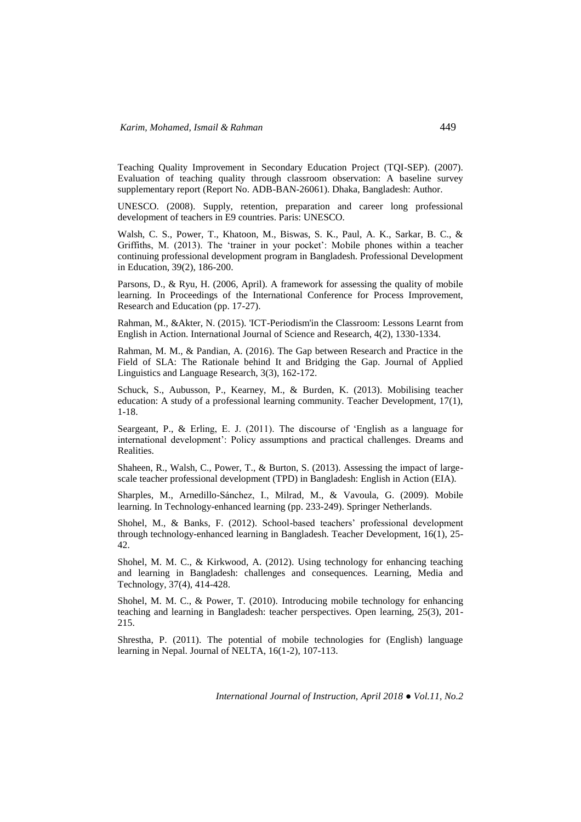Teaching Quality Improvement in Secondary Education Project (TQI-SEP). (2007). Evaluation of teaching quality through classroom observation: A baseline survey supplementary report (Report No. ADB-BAN-26061). Dhaka, Bangladesh: Author.

UNESCO. (2008). Supply, retention, preparation and career long professional development of teachers in E9 countries. Paris: UNESCO.

Walsh, C. S., Power, T., Khatoon, M., Biswas, S. K., Paul, A. K., Sarkar, B. C., & Griffiths, M. (2013). The 'trainer in your pocket': Mobile phones within a teacher continuing professional development program in Bangladesh. Professional Development in Education, 39(2), 186-200.

Parsons, D., & Ryu, H. (2006, April). A framework for assessing the quality of mobile learning. In Proceedings of the International Conference for Process Improvement, Research and Education (pp. 17-27).

Rahman, M., &Akter, N. (2015). 'ICT-Periodism'in the Classroom: Lessons Learnt from English in Action. International Journal of Science and Research, 4(2), 1330-1334.

Rahman, M. M., & Pandian, A. (2016). The Gap between Research and Practice in the Field of SLA: The Rationale behind It and Bridging the Gap. Journal of Applied Linguistics and Language Research, 3(3), 162-172.

Schuck, S., Aubusson, P., Kearney, M., & Burden, K. (2013). Mobilising teacher education: A study of a professional learning community. Teacher Development, 17(1), 1-18.

Seargeant, P., & Erling, E. J. (2011). The discourse of 'English as a language for international development': Policy assumptions and practical challenges. Dreams and Realities.

Shaheen, R., Walsh, C., Power, T., & Burton, S. (2013). Assessing the impact of largescale teacher professional development (TPD) in Bangladesh: English in Action (EIA).

Sharples, M., Arnedillo-Sánchez, I., Milrad, M., & Vavoula, G. (2009). Mobile learning. In Technology-enhanced learning (pp. 233-249). Springer Netherlands.

Shohel, M., & Banks, F. (2012). School-based teachers' professional development through technology-enhanced learning in Bangladesh. Teacher Development, 16(1), 25- 42.

Shohel, M. M. C., & Kirkwood, A. (2012). Using technology for enhancing teaching and learning in Bangladesh: challenges and consequences. Learning, Media and Technology, 37(4), 414-428.

Shohel, M. M. C., & Power, T. (2010). Introducing mobile technology for enhancing teaching and learning in Bangladesh: teacher perspectives. Open learning, 25(3), 201- 215.

Shrestha, P. (2011). The potential of mobile technologies for (English) language learning in Nepal. Journal of NELTA, 16(1-2), 107-113.